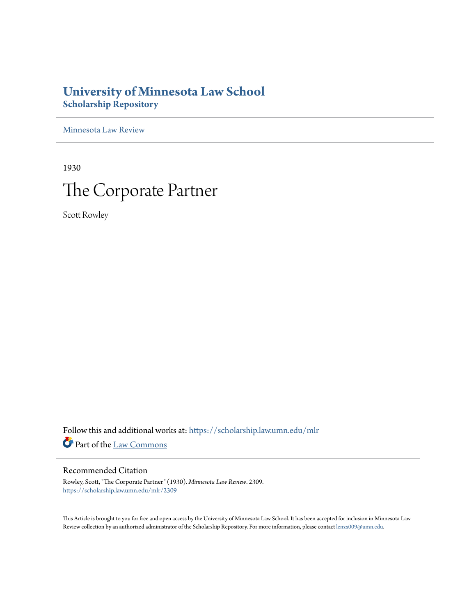# **University of Minnesota Law School [Scholarship Repository](https://scholarship.law.umn.edu?utm_source=scholarship.law.umn.edu%2Fmlr%2F2309&utm_medium=PDF&utm_campaign=PDFCoverPages)**

[Minnesota Law Review](https://scholarship.law.umn.edu/mlr?utm_source=scholarship.law.umn.edu%2Fmlr%2F2309&utm_medium=PDF&utm_campaign=PDFCoverPages)

1930 The Corporate Partner

Scott Rowley

Follow this and additional works at: [https://scholarship.law.umn.edu/mlr](https://scholarship.law.umn.edu/mlr?utm_source=scholarship.law.umn.edu%2Fmlr%2F2309&utm_medium=PDF&utm_campaign=PDFCoverPages) Part of the [Law Commons](http://network.bepress.com/hgg/discipline/578?utm_source=scholarship.law.umn.edu%2Fmlr%2F2309&utm_medium=PDF&utm_campaign=PDFCoverPages)

# Recommended Citation

Rowley, Scott, "The Corporate Partner" (1930). *Minnesota Law Review*. 2309. [https://scholarship.law.umn.edu/mlr/2309](https://scholarship.law.umn.edu/mlr/2309?utm_source=scholarship.law.umn.edu%2Fmlr%2F2309&utm_medium=PDF&utm_campaign=PDFCoverPages)

This Article is brought to you for free and open access by the University of Minnesota Law School. It has been accepted for inclusion in Minnesota Law Review collection by an authorized administrator of the Scholarship Repository. For more information, please contact [lenzx009@umn.edu.](mailto:lenzx009@umn.edu)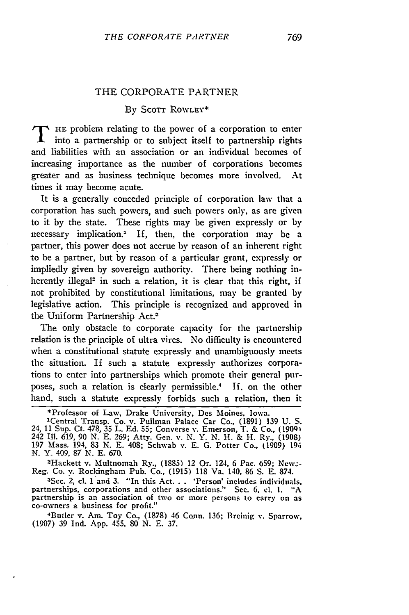#### THE CORPORATE PARTNER

## By SCOTT ROWLEY\*

T HE problem relating to the power of a corporation to enter into a partnership or to subject itself to partnership rights and liabilities with an association or an individual becomes of increasing importance as the number of corporations becomes greater and as business technique becomes more involved. At times it may become acute.

It is a generally conceded principle of corporation law that a corporation has such powers, and such powers only, as are given to it by the state. These rights may be given expressly or by necessary implication." If, then, the corporation may be a partner, this power does not accrue by reason of an inherent right to be a partner, but by reason of a particular grant, expressly or impliedly given by sovereign authority. There being nothing inherently illegal<sup>2</sup> in such a relation, it is clear that this right, if not prohibited by constitutional limitations, may be granted by legislative action. This principle is recognized and approved in the Uniform Partnership Act.<sup>3</sup>

The only obstacle to corporate capacity for the partnership relation is the principle of ultra vires. No difficulty is encountered when a constitutional statute expressly and unambiguously meets the situation. If such a statute expressly authorizes corporations to enter into partnerships which promote their general purposes, such a relation is clearly permissible.4 If. on the other hand, such a statute expressly forbids such a relation, then it

\*Professor of Law, Drake University, Des Moines, Iowa.

'Central Transp. Co. v. Pullman Palace Car Co., (1891) 139 U. S. 24, 11 Sup. Ct. 478, **35** L. **Ed. 55;** Converse **v.** Emerson, T. & Co., **(19091** 242 Ill. 619, **90** N. **E. 269;** Atty. Gen. v. N. Y. N. H. & H. Ry., (1908) 197 Mass. 194, 83 N. **E.** 408; Schwab v. E. G. Potter Co., (1909) **19.4** N. Y. 409, **87** N. **E.** 670.

-Hackett v. Multnomah Ry., (1885) 12 Or. 124, 6 Pac. **659;** Newz-Reg. Co. v. Rockingham Pub. Co., (1915) 118 Va. 140, 86 S. E. 874.

<sup>3</sup>Sec. 2, cl. 1 and 3. "In this Act... 'Person' includes individuals. partnerships, corporations and other associations." Sec. 6, **cl.** 1. "A partnership is an association of two or more persons to carry on as co-owners a business for profit." 4Butler v. Am. Toy Co., (1878) 46 Conn. 136; Breinig **v.** Sparrow,

(1907) **39** Ind. App. 455, 80 N. E. **37.**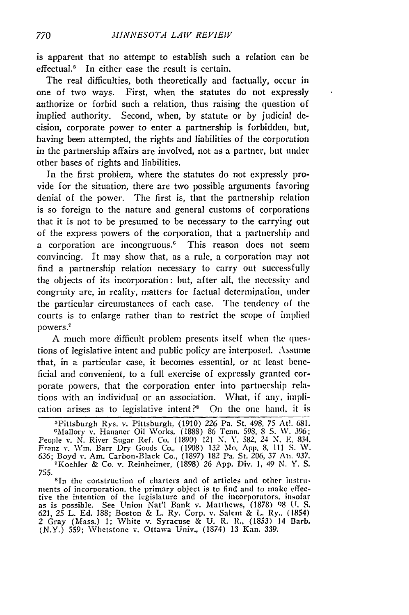is apparent that no attempt to establish such a relation can **be** effectual.5 In either case the result is certain.

The real difficulties, both theoretically and factually, occur in one of two ways. First, when the statutes do not expressly authorize or forbid such a relation, thus raising the question of implied authority. Second, when, **by** statute or **by** judicial **de**cision, corporate power to enter a partnership is forbidden, but, having been attempted, the rights and liabilities of the corporation in the partnership affairs are involved, not as a partner, but tnder other bases of rights and liabilities.

In the first problem, where the statutes do not expressly provide for the situation, there are two possible arguments favoring denial of the power. The first is, that the partnership relation is so foreign to the nature and general customs of corporations that it is not to be presumed to be necessary to the carrying out of the express powers of the corporation, that a **partnership and** a corporation are incongruous.<sup>6</sup> This reason does not seem convincing. It may show that, as a rule, a corporation may not find a partnership relation necessary to carry out successfully the objects of its incorporation: but, after all, the necessity and congruity are, in reality, matters for factual determination, tinder the particular circumstances of each case. **The** tendency of **the** courts is to enlarge rather than to restrict the scope of implied powers.7

**A** much more difficult problem presents itself when the questions of legislative intent and public policy are interposed. **Assume** that, in a particular case, it becomes essential, or at least beneficial and convenient, to a full exercise of expressly granted corporate powers, that the corporation enter into partnership relations with an individual or an association. What, if **any,** iniplication arises as to legislative intent?s **On the** one hand, it is

'Pittsburgh Rys. v. Pittsburgh, **(1910) 226** Pa. St. 498, **75 At!. 681.** cMallory v. Hananer Oil Works, **(1888) 86 Tenn, 598, 8 S.** *\V.* **396:** People v. **N.** River Sugar Ref. Co. **(1890)** 121 **N.** *Y.* **582,** *24* **N.** *E. 834.* Franz **v.** Wim. Barr Dry Goods Co., **(1908) 132** Mo. **App. 8. 1i1 S. W.** 636; Boyd v. Am. Carbon-Black Co., (1897) 182 Pa. St. 206, 37 An. 937.<br>FKoehler & Co. v. Reinheimer, (1898) 26 App. Div. 1, 49 N. Y. S.

**755. 8in** the construction of charters and of articles and other instruments of incorporation, the primary object is to find and to make effective the intention of the legislature and of the incorporators. insofar as is possible. See Union Nat'l Bank v. Matthews, **(1878) 98 IT. S. 621,** *25* L. **Ed. 188;** Boston **&** L. Ry. Corp. v. Salem **&** L. Ry., (1854) 2 Gray (Mass.) **1;** White **v.** Syracuse **& U.** R. R., **(1853)** 14 Barb. (N.Y.) **559;** Whetstone v. Ottawa Univ., **(1874) 13** Kan. **339.**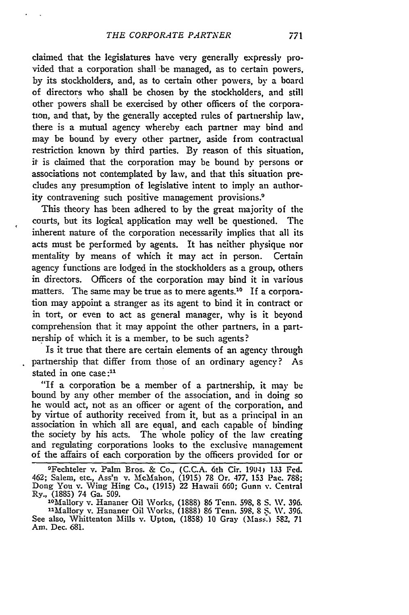claimed that the legislatures have very generally expressly provided that a corporation shall be managed, as to certain powers, by its stockholders, and, as to certain other powers, by a board of directors who shall be chosen by the stockholders, and still other powers shall be exercised by other officers of the corporation, and that, by the generally accepted rules of partnership law, there is a mutual agency whereby each partner may bind and may be bound by every other partner, aside from contractual restriction known by third parties. By reason of this situation, it is claimed that the corporation may be bound by persons or associations not contemplated by law, and that this situation precludes any presumption of legislative intent to imply an authority contravening such positive management provisions.<sup>9</sup>

This theory has been adhered to by the great majority of the courts, but its logical application may well be questioned. The inherent nature of the corporation necessarily implies that all its acts must be performed by agents. It has neither physique nor mentality by means of which it may act in person. Certain agency functions are lodged in the stockholders as a group, others in directors. Officers of the corporation may bind it in various matters. The same may be true as to mere agents.<sup>10</sup> If a corporation may appoint a stranger as its agent to bind it in contract or in tort, or even to act as general manager, why is it beyond comprehension that it may appoint the other partners, in a partnership of which it is a member, to be such agents?

Is it true that there are certain elements of an agency through partnership that differ from those of an ordinary agency? As stated in one case:<sup>11</sup>

"If a corporation be a member of a partnership, it may **be** bound by any other member of the association, and in doing so he would act, not as an officer or agent of the corporation, and by virtue of authority received from it, but as a principal in an association in which all are equal, and each capable of binding the society by his acts. The whole policy of the law creating and regulating corporations looks to the exclusive management of the affairs of each corporation by the officers provided for or

9Fechteler v. Palm Bros. & Co., (C.C.A. 6th Cir. 1904) 133 Fed. 462; Salem, etc., Ass'n v. McMahon, (1915) 78 Or. 477, 153 Pac. 788<br>Dong You v. Wing Hing Co., (1915) 22 Hawaii 660; Gunn v. Centra Ry., (1885) 74 Ga. 509.<br>1<sup>0</sup>Mallory v. Hananer Oil Works, (1888) 86 Tenn. 598, 8 S. *W.* 396.

<sup>10</sup>Mallory v. Hananer Oil Works, (1888) 86 Tenn. 598, 8 S. W. 396.<br><sup>11</sup>Mallory v. Hananer Oil Works, (1888) 86 Tenn. 598, 8 S. W. 396. See also, Whittenton Mills v. Upton, (1858) 10 Gray (Mass.) 582, 71 Am. Dec. 681.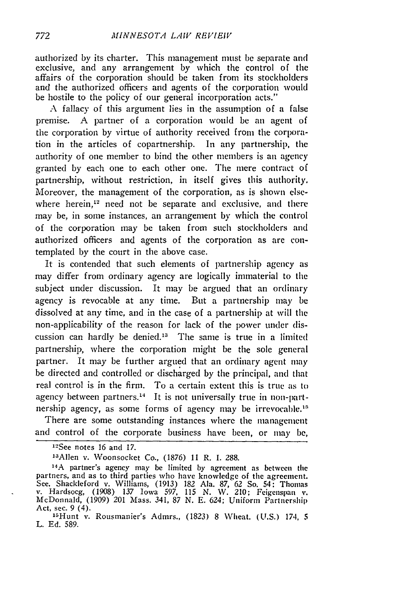authorized by its charter. This management must **be** separate and exclusive, and any arrangement by which the control of the affairs of the corporation should be taken from its stockholders and the authorized officers and agents of the corporation would be hostile to the policy of our general incorporation acts."

A fallacy of this argument lies in the assumption of a false premise. A partner of a corporation would be an agent of the corporation by virtue of authority received from the corporation in the articles of copartnership. In any partnership, the authority of one member to bind the other members is an agency granted by each one to each other one. The mere contract of partnership, without restriction, in itself gives this authority. Moreover, the management of the corporation, as is shown elsewhere herein, $12$  need not be separate and exclusive, and there may be, in some instances, an arrangement by which the control of the corporation may be taken from such stockholders and authorized officers and agents of the corporation as are contemplated by the court in the above case.

It is contended that such elements of partnership agency as may differ from ordinary agency are logically immaterial to the subject under discussion. It may be argued that an ordinary agency is revocable at any time. But a partnership may be dissolved at any time, and in the case of a partnership at will the non-applicability of the reason for lack of the power under discussion can hardly be denied." The same is true in a limited partnership, where the corporation might be the sole general partner. It may be further argued that an ordinary agent may be directed and controlled or discharged by the principal, and that real control is in the firm. To a certain extent this is true as to agency between partners.<sup>14</sup> It is not universally true in non-partnership agency, as some forms of agency may be irrevocable.<sup>15</sup>

There are some outstanding instances where the management and control of the corporate business have been, or may be,

13Allen v. Woonsocket Co., (1876) 11 R. I. 288.

<sup>&</sup>lt;sup>12</sup>See notes 16 and 17.

<sup>14</sup>A partner's agency may be limited **by** agreement as between tile partners, and as to third parties who have knowledge of the agreement. See, Shackleford v. Williams, (1913) 182 Ala. 87, 62 So. 54: Thomas v. Hardsocg, (1908) *137* Iowa 597, **115 N. W.** 210; Feigenspan v. McDonnald, (1909) 201 Mass. 341, 87 N. E. 624; Uniform Partnership Act, sec. 9 (4).

<sup>&</sup>quot;SHunt v. Rousmanier's Admrs., (1823) 8 Wheat. (U.S.) 174, **5** L. **Ed.** 589.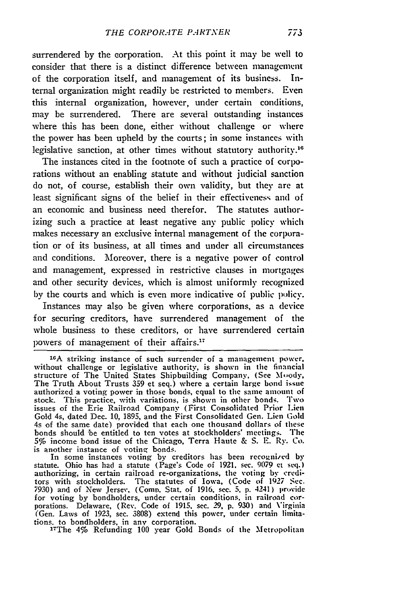surrendered **by** the corporation. At this point it may **be well** to consider that there is a distinct difference between management of the corporation itself, and management of its business. Internal organization might readily be restricted to members. **Even** this internal organization, however, under certain conditions, may be surrendered. There are several outstanding instances where this has been done, either without challenge or where the power has been upheld **by** the courts; in **some** instances with legislative sanction, at other times without statutory authority.<sup>16</sup>

The instances cited in the footnote of such a practice of corporations without an enabling statute and without judicial sanction do not, of course, establish their own validity, but they are at least significant signs of the belief in their effectiveness and **of** an economic and business need therefor. The statutes authorizing such a practice at least negative any public **policy** which makes necessary an exclusive internal management of the corporation or of its business, at all times and under all circumstances and conditions. Moreover, there is a negative **power** of control and management, expressed in restrictive clauses in mortgages and other security devices, which is almost uniformly recognized **by** the courts and which is even more indicative of public policy.

Instances may also be given where corporations, as a device for securing creditors, have surrendered management of the whole business to these creditors, or have surrendered certain powers of management of their affairs."

In some instances voting by creditors has been recognied **by** statute. Ohio has **had** a statute (Page's Code of **1921,** sec. **9079** et sel.) authorizing, in certain railroad re-organizations, the voting by creditors with stockholders. The statutes of Iowa, (Code of *1927* Sec. **7930)** and of New Jersey, (Comp. Stat. of **1916.** sec. **5. p.** 4241) provide for voting **by** bondholders, under certain conditions, in railroad cor- porations. Delaware, (Rev. Code of **1915.** sec. **29, p. 930)** and Virginia (Gen. Laws of **1923,** sec. **3808)** extend this power, under certain limitations, to bondholders, in any corporation. 27 The **4%** Refunding **100** year Gold Bonds of the Metropolitan

<sup>&</sup>lt;sup>16</sup>A striking instance of such surrender of a management power. without challenge or legislative authority, is shown in the financial structure of The United States Shipbuilding Company, **(See M-jody,** The Truth About Trusts **359** et seq.) where a certain large bond **issue** authorized a voting power in those bonds, equal to the same amount of stock. This practice, with variations, is shown in other bonds. Two issues of the Erie Railroad Company (First Consolidated Prior Lien Gold 4s, dated Dec. **10, 1895,** and the First Consolidated Gen. **Lien** Gold 4s of the same date) provided that each one thousand dollars of these bonds should **'be** entitled to ten votes at stockholders' meetings. The **5%** income bond issue of the Chicago, Terra Haute **& S. E.** Ry. Co. is another instance of voting bonds.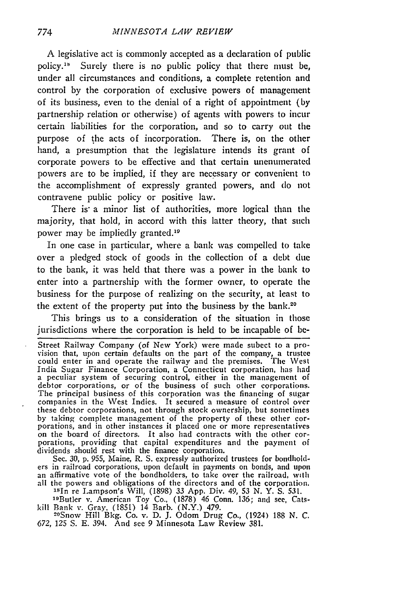**A** legislative act is commonly accepted as a declaration of public policy.<sup>18</sup> Surely there is no public policy that there must be, under all circumstances and conditions, a complete retention and control **by** the corporation of exclusive powers of management of its business, even to the denial of a right of appointment (by partnership relation or otherwise) of agents with powers to incur certain liabilities for the corporation, and so to carry out the purpose of the acts of incorporation. There is, on the other hand, a presumption that the legislature intends its grant of corporate powers to be effective and that certain unenumerated powers are to be implied, if they are necessary or convenient to the accomplishment of expressly granted powers, and do not contravene public policy or positive law.

There is a minor list of authorities, more logical than the majority, that hold, in accord with this latter theory, that such power may be impliedly granted.<sup>19</sup>

In one case in particular, where a bank was compelled to take over a pledged stock of goods in the collection of a debt due to the bank, it was held that there was a power in the bank to enter into a partnership with the former owner, to operate the business for the purpose of realizing on the security, at least to the extent of the property put into the business by the bank.<sup>20</sup>

This brings us to a consideration of the situation in those jurisdictions where the corporation is held to be incapable of be-

dividends should rest with the finance corporation.<br>Sec. 30, p. 955, Maine, R. S. expressly authorized trustees for bondhold-<br>ers in railroad corporations, upon default in payments on bonds, and upon<br>an affirmative vote of all the powers and obligations of the directors and of the corporation. <sup>18</sup>In re Lampson's Will, (1898) 33 App. Div. 49, 53 N. Y. S. 531.

19Butler v. American Toy Co., (1878) 46 Conn. 136; and see, Catskill Bank v. Gray. (1851) 14 Barb. (N.Y.) 479.<br><sup>20</sup>Snow Hill Bkg. Co. v. D. J. Odom Drug Co., (1924) 188 N. C.

*672,* 125 **S.** E. 394. And see 9 Minnesota Law Review 381.

Street Railway Company (of New York) were made subect to a pro-<br>vision that, upon certain defaults on the part of the company, a trustee could enter in and operate the railway and the premises. The West India Sugar Finance Corporation, a Connecticut corporation, has had a peculiar system of securing control, either in the management of debtor corporations, or of the business of such other corporations. The principal business of this corporation was the financing of sugar The principal business of this corporation was the financing of sugar companies in the West Indies. It secured a measure of control over these debtor corporations, not through stock ownership, but sometimes by taking complete management of the property of these other cor-<br>porations, and in other instances it placed one or more representatives<br>on the board of directors. It also had contracts with the other cor-<br>porations, prov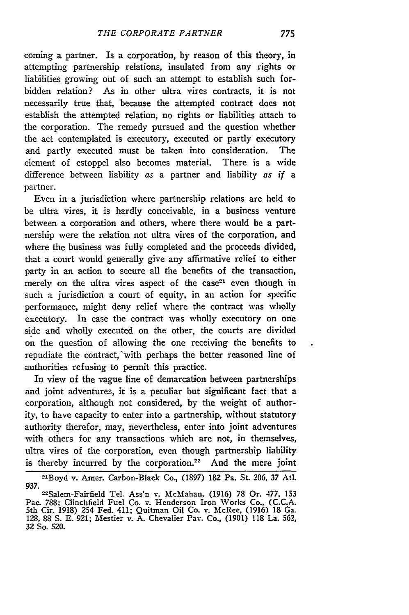coming a partner. Is a corporation, by reason of this theory, in attempting partnership relations, insulated from any rights or liabilities growing out of such an attempt to establish such forbidden relation? As in other ultra vires contracts, it is not necessarily true that, because the attempted contract does not establish the attempted relation, no rights or liabilities attach to the corporation. The remedy pursued and the question whether the act contemplated is executory, executed or partly executory and partly executed must be taken into consideration. The element of estoppel also becomes material. There is a wide difference between liability as a partner and liability as if a partner.

Even in a jurisdiction where partnership relations are held to be ultra vires, it is hardly conceivable, in a business venture between a corporation and others, where there would be a partnership were the relation not ultra vires of the corporation, and where the business was fully completed and the proceeds divided, that a court would generally give any affirmative relief to either party in an action to secure all the benefits of the transaction, merely on the ultra vires aspect of the case<sup>21</sup> even though in such a jurisdiction a court of equity, in an action for specific performance, might deny relief where the contract was wholly executory. In case the contract was wholly executory on one side and wholly executed on the other, the courts are divided on the question of allowing the one receiving the benefits to repudiate the contract,'with perhaps the better reasoned line of authorities refusing to permit this practice.

In view of the vague line of demarcation between partnerships and joint adventures, it is a peculiar but significant fact that a corporation, although not considered, by the weight of authority, to have capacity to enter into a partnership, without statutory authority therefor, may, nevertheless, enter into joint adventures with others for any transactions which are not, in themselves, ultra vires of the corporation, even though partnership liability is thereby incurred by the corporation.<sup>22</sup> And the mere joint

<sup>2</sup>lBoyd v. Amer. Carbon-Black Co., (1897) 182 Pa. St. 206, 37 Atd. *937.* -

<sup>22</sup> Salem-Fairfield Tel. Ass'n v. McMahan, (1916) 78 Or. 477, 153 Pac. 788; Clinchfield Fuel Co. v. Henderson Iron Works Co., (C.C.A. 5th Cir. 1918) 254 Fed. 411; Quitman Oil Co. v. McRee, (1916) 18 Ga. 128, 88 **S.** E. 921; Mestier v. A. Chevalier Pay. Co., (1901) 118 La. 562, 32 So. 520.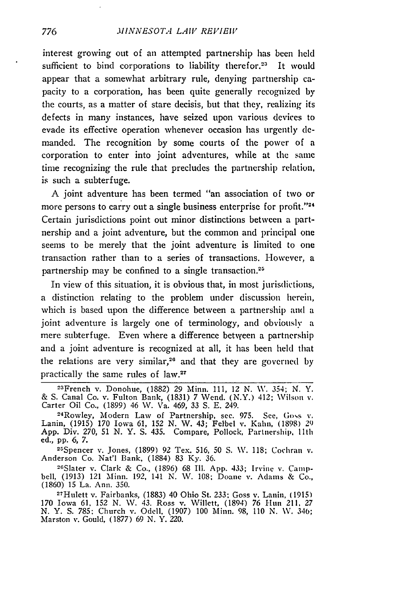interest growing out of an attempted partnership has been held sufficient to bind corporations to liability therefor.<sup>23</sup> It would appear that a somewhat arbitrary rule, denying partnership capacity to a corporation, has been quite generally recognized **by** the courts, as a matter of stare decisis, but that they, realizing its defects in many instances, have seized upon various devices to evade its effective operation whenever occasion has urgently **de**manded. The recognition **by** some courts of the power of a corporation to enter into joint adventures, while at the same time recognizing the rule that precludes the partnership relation, is such a subterfuge.

**A** joint adventure has been termed "an association of two or more persons to carry out a single business enterprise for profit."<sup>24</sup> Certain jurisdictions point out minor distinctions between a partnership and a joint adventure, but the common and principal one seems to be merely that the joint adventure is limited to one transaction rather than to a series of transactions. However, a partnership may be confined to a single transaction.<sup>25</sup>

In view of this situation, it is obvious that, in most jurisdictions, a distinction relating to the problem under discussion herein, which is based upon the difference between a partnership and a joint adventure is largely one of terminology, and obviously a mere subterfuge. Even where a difference betwyeen a partnership and a joint adventure is recognized at all, it has been held that the relations are very similar,20 and that they are governed **by** practically the same rules of law.<sup>27</sup>

Spencer v. Jones, **(1899) 92** Tex. **516, 50 S. NV. 118;** Cochran v. Anderson Co. Nat'l Bank, **(1884) 83 Ky. 36.**

2-Slater v. Clark **&** Co., **(1896) 68 Ill. App.** 433; Irvine v. Campbell, **(1913)** 121 Minn. **192,** 141 **N. V. 108;** Doane v. Adams **&** Co., **(1860) 15** La. Ann. **350.**

27Hulett v. Fairbanks, **(1883)** 40 Ohio St. **233;** Goss v. Lanin, **(1915) 170** Iowa **61, 152 N. V.** 43. Ross v. Willett, (1894) **76** 1-un *211. 27* **N.** Y. **S. 785;** Church v. **Odell, (1907) 100** Minn. **98, 110 N. \V.** 340; Marston v. Gould, **(1877) 69 N.** Y. 220.

776

<sup>23</sup>French v. Donohue, **(1882) 29** Minn. **111,** 12 **N. NV.** 354; N. Y. **& S.** Canal Co. v. Fulton Bank, **(1831) 7** Wend. (N.Y.) 412; Wilson v. Carter Oil Co., **(1899)** 46 **W.** Va. 469, **33 S. E.** 249. 24

Rowley, Modern Law of Partnership, **sec. 975. See, Goss v.** Lanin, **(1915) 170** Iowa **61, 152 N.** W. 43; Felbel v. Kahn, **(1898) 29 App.** Div. **270, 51 N.** Y. **S.** 435. Compare, **Pollock,** Partnership. **llth** ed., pp. 6, 7.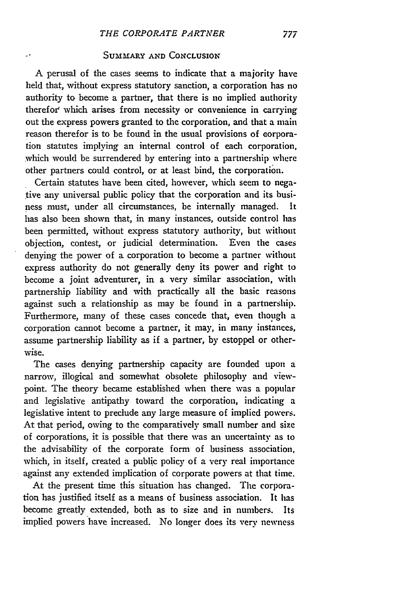### SUMMARY **AND** CONCLUSION

A perusal of the cases seems to indicate that a majority have held that, without express statutory sanction, a corporation has no authority to become a partner, that there is no implied authority therefor' which arises from necessity or convenience in carrying out the express powers granted to the corporation, and that a main reason therefor is to be found in the usual provisions of corporation statutes implying an internal control of each corporation, which would be surrendered by entering into a partnership where other partners could control, or at least bind, the corporation.

Certain statutes have been cited, however, which seem to negative any universal public policy that the corporation and its business must, under all circumstances, be internally managed. has also been shown that, in many instances, outside control has been permitted, without express statutory authority, but without objection, contest, or judicial determination. Even the cases denying the power of a corporation to become a partner without express authority do not generally deny its power and right to become a joint adventurer, in a very similar association, with partnership liability and with practically all the basic reasons against such a relationship as may be found in a partnership. Furthermore, many of these cases concede that, even though a corporation cannot become a partner, it may, in many instances, assume partnership liability as if a partner, by estoppel or otherwise.

The cases denying partnership capacity are founded upon a narrow, illogical and somewhat obsolete philosophy and viewpoint. The theory became established when there was a popular and legislative antipathy toward the corporation, indicating a legislative intent to preclude any large measure of implied powers. At that period, owing to the comparatively small number and size of corporations, it is possible that there was an uncertainty as to the advisability of the corporate form of business association, which, in itself, created a public policy of a very real importance against any extended implication of corporate powers at that time.

At the present time this situation has changed. The corporation has justified itself as a means of business association. It has become greatly extended, both as to size and in numbers. Its implied powers have increased. No longer does its very newness